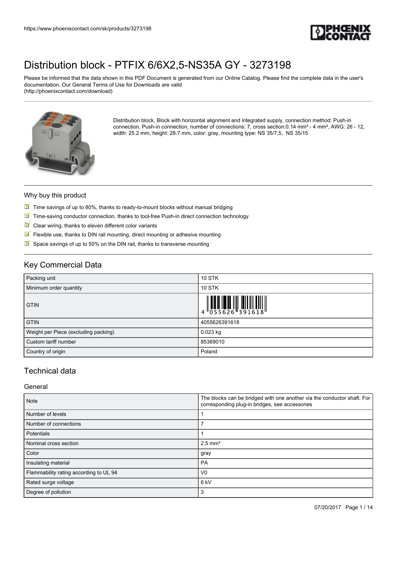

Please be informed that the data shown in this PDF Document is generated from our Online Catalog. Please find the complete data in the user's documentation. Our General Terms of Use for Downloads are valid (http://phoenixcontact.com/download)



Distribution block, Block with horizontal alignment and integrated supply, connection method: Push-in connection, Push-in connection, number of connections: 7, cross section:0.14 mm² - 4 mm², AWG: 26 - 12, width: 25.2 mm, height: 28.7 mm, color: gray, mounting type: NS 35/7,5, NS 35/15

#### Why buy this product

- $\overline{\mathbb{M}}$  Time savings of up to 80%, thanks to ready-to-mount blocks without manual bridging
- $\boxed{\blacksquare}$  Time-saving conductor connection, thanks to tool-free Push-in direct connection technology
- $\blacksquare$  Clear wiring, thanks to eleven different color variants
- $\blacksquare$  Flexible use, thanks to DIN rail mounting, direct mounting or adhesive mounting
- $\triangleright$  Space savings of up to 50% on the DIN rail, thanks to transverse mounting

### Key Commercial Data

| Packing unit                         | <b>10 STK</b>                                                                                                                                                                                                                                                                                                                  |
|--------------------------------------|--------------------------------------------------------------------------------------------------------------------------------------------------------------------------------------------------------------------------------------------------------------------------------------------------------------------------------|
| Minimum order quantity               | <b>10 STK</b>                                                                                                                                                                                                                                                                                                                  |
| <b>GTIN</b>                          | $\begin{array}{c} 1 & 0 & 0 & 0 \\ 0 & 0 & 0 & 0 \\ 0 & 0 & 0 & 0 \\ 0 & 0 & 0 & 0 \\ 0 & 0 & 0 & 0 \\ 0 & 0 & 0 & 0 \\ 0 & 0 & 0 & 0 \\ 0 & 0 & 0 & 0 \\ 0 & 0 & 0 & 0 \\ 0 & 0 & 0 & 0 \\ 0 & 0 & 0 & 0 \\ 0 & 0 & 0 & 0 \\ 0 & 0 & 0 & 0 \\ 0 & 0 & 0 & 0 & 0 \\ 0 & 0 & 0 & 0 & 0 \\ 0 & 0 & 0 & 0 & 0 \\ 0 & 0 & 0 & 0 &$ |
| <b>GTIN</b>                          | 4055626391618                                                                                                                                                                                                                                                                                                                  |
| Weight per Piece (excluding packing) | $0.023$ kg                                                                                                                                                                                                                                                                                                                     |
| Custom tariff number                 | 85369010                                                                                                                                                                                                                                                                                                                       |
| Country of origin                    | Poland                                                                                                                                                                                                                                                                                                                         |

## Technical data

#### General

| <b>Note</b>                            | The blocks can be bridged with one another via the conductor shaft. For<br>corresponding plug-in bridges, see accessories |  |
|----------------------------------------|---------------------------------------------------------------------------------------------------------------------------|--|
| Number of levels                       |                                                                                                                           |  |
| Number of connections                  |                                                                                                                           |  |
| Potentials                             |                                                                                                                           |  |
| Nominal cross section                  | $2.5$ mm <sup>2</sup>                                                                                                     |  |
| Color                                  | gray                                                                                                                      |  |
| Insulating material                    | <b>PA</b>                                                                                                                 |  |
| Flammability rating according to UL 94 | V <sub>0</sub>                                                                                                            |  |
| Rated surge voltage                    | 6 <sub>kV</sub>                                                                                                           |  |
| Degree of pollution                    | 3                                                                                                                         |  |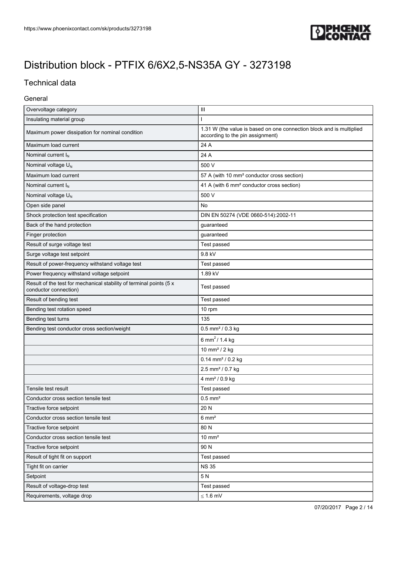

## Technical data

### General

| Overvoltage category                                                                         | Ш                                                                                                        |  |
|----------------------------------------------------------------------------------------------|----------------------------------------------------------------------------------------------------------|--|
| Insulating material group                                                                    |                                                                                                          |  |
| Maximum power dissipation for nominal condition                                              | 1.31 W (the value is based on one connection block and is multiplied<br>according to the pin assignment) |  |
| Maximum load current                                                                         | 24 A                                                                                                     |  |
| Nominal current $I_N$                                                                        | 24 A                                                                                                     |  |
| Nominal voltage U <sub>N</sub>                                                               | 500 V                                                                                                    |  |
| Maximum load current                                                                         | 57 A (with 10 mm <sup>2</sup> conductor cross section)                                                   |  |
| Nominal current $I_N$                                                                        | 41 A (with 6 mm <sup>2</sup> conductor cross section)                                                    |  |
| Nominal voltage $U_N$                                                                        | 500 V                                                                                                    |  |
| Open side panel                                                                              | No                                                                                                       |  |
| Shock protection test specification                                                          | DIN EN 50274 (VDE 0660-514):2002-11                                                                      |  |
| Back of the hand protection                                                                  | guaranteed                                                                                               |  |
| Finger protection                                                                            | guaranteed                                                                                               |  |
| Result of surge voltage test                                                                 | Test passed                                                                                              |  |
| Surge voltage test setpoint                                                                  | 9.8 kV                                                                                                   |  |
| Result of power-frequency withstand voltage test                                             | Test passed                                                                                              |  |
| Power frequency withstand voltage setpoint                                                   | 1.89 kV                                                                                                  |  |
| Result of the test for mechanical stability of terminal points (5 x<br>conductor connection) | Test passed                                                                                              |  |
| Result of bending test                                                                       | Test passed                                                                                              |  |
| Bending test rotation speed                                                                  | 10 rpm                                                                                                   |  |
| Bending test turns                                                                           | 135                                                                                                      |  |
| Bending test conductor cross section/weight                                                  | $0.5$ mm <sup>2</sup> / 0.3 kg                                                                           |  |
|                                                                                              | 6 mm <sup>2</sup> / 1.4 kg                                                                               |  |
|                                                                                              | 10 mm <sup>2</sup> / 2 kg                                                                                |  |
|                                                                                              | $0.14$ mm <sup>2</sup> / 0.2 kg                                                                          |  |
|                                                                                              | 2.5 mm <sup>2</sup> / 0.7 kg                                                                             |  |
|                                                                                              | 4 mm <sup>2</sup> / 0.9 kg                                                                               |  |
| Tensile test result                                                                          | Test passed                                                                                              |  |
| Conductor cross section tensile test                                                         | $0.5$ mm <sup>2</sup>                                                                                    |  |
| Tractive force setpoint                                                                      | 20 N                                                                                                     |  |
| Conductor cross section tensile test                                                         | $6 \text{ mm}^2$                                                                                         |  |
| Tractive force setpoint                                                                      | 80 N                                                                                                     |  |
| Conductor cross section tensile test                                                         | $10 \text{ mm}^2$                                                                                        |  |
| Tractive force setpoint                                                                      | 90 N                                                                                                     |  |
| Result of tight fit on support                                                               | Test passed                                                                                              |  |
| Tight fit on carrier                                                                         | <b>NS 35</b>                                                                                             |  |
| Setpoint                                                                                     | 5N                                                                                                       |  |
| Result of voltage-drop test                                                                  | Test passed                                                                                              |  |
| Requirements, voltage drop                                                                   | $\leq$ 1.6 mV                                                                                            |  |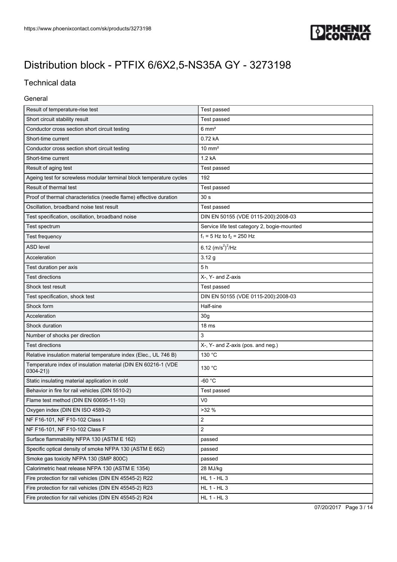

## Technical data

### General

| Result of temperature-rise test                                               | Test passed                                 |  |
|-------------------------------------------------------------------------------|---------------------------------------------|--|
| Short circuit stability result                                                | Test passed                                 |  |
| Conductor cross section short circuit testing                                 | $6 \text{ mm}^2$                            |  |
| Short-time current                                                            | 0.72 kA                                     |  |
| Conductor cross section short circuit testing                                 | $10 \text{ mm}^2$                           |  |
| Short-time current                                                            | 1.2 kA                                      |  |
| Result of aging test                                                          | Test passed                                 |  |
| Ageing test for screwless modular terminal block temperature cycles           | 192                                         |  |
| Result of thermal test                                                        | Test passed                                 |  |
| Proof of thermal characteristics (needle flame) effective duration            | 30 <sub>s</sub>                             |  |
| Oscillation, broadband noise test result                                      | Test passed                                 |  |
| Test specification, oscillation, broadband noise                              | DIN EN 50155 (VDE 0115-200):2008-03         |  |
| Test spectrum                                                                 | Service life test category 2, bogie-mounted |  |
| Test frequency                                                                | $f_1 = 5$ Hz to $f_2 = 250$ Hz              |  |
| <b>ASD level</b>                                                              | 6.12 $(m/s^2)^2$ /Hz                        |  |
| Acceleration                                                                  | 3.12g                                       |  |
| Test duration per axis                                                        | 5h                                          |  |
| <b>Test directions</b>                                                        | X-, Y- and Z-axis                           |  |
| Shock test result                                                             | Test passed                                 |  |
| Test specification, shock test                                                | DIN EN 50155 (VDE 0115-200):2008-03         |  |
| Shock form                                                                    | Half-sine                                   |  |
| Acceleration                                                                  | 30 <sub>g</sub>                             |  |
| Shock duration                                                                | 18 <sub>ms</sub>                            |  |
| Number of shocks per direction                                                | 3                                           |  |
| <b>Test directions</b>                                                        | X-, Y- and Z-axis (pos. and neg.)           |  |
| Relative insulation material temperature index (Elec., UL 746 B)              | 130 °C                                      |  |
| Temperature index of insulation material (DIN EN 60216-1 (VDE<br>$0304 - 21)$ | 130 °C                                      |  |
| Static insulating material application in cold                                | $-60 °C$                                    |  |
| Behavior in fire for rail vehicles (DIN 5510-2)                               | Test passed                                 |  |
| Flame test method (DIN EN 60695-11-10)                                        | V <sub>0</sub>                              |  |
| Oxygen index (DIN EN ISO 4589-2)                                              | >32%                                        |  |
| NF F16-101, NF F10-102 Class I                                                | 2                                           |  |
| NF F16-101, NF F10-102 Class F                                                | $\overline{2}$                              |  |
| Surface flammability NFPA 130 (ASTM E 162)                                    | passed                                      |  |
| Specific optical density of smoke NFPA 130 (ASTM E 662)                       | passed                                      |  |
| Smoke gas toxicity NFPA 130 (SMP 800C)                                        | passed                                      |  |
| Calorimetric heat release NFPA 130 (ASTM E 1354)                              | 28 MJ/kg                                    |  |
| Fire protection for rail vehicles (DIN EN 45545-2) R22                        | <b>HL 1 - HL 3</b>                          |  |
| Fire protection for rail vehicles (DIN EN 45545-2) R23                        | HL 1 - HL 3                                 |  |
| Fire protection for rail vehicles (DIN EN 45545-2) R24                        | <b>HL 1 - HL 3</b>                          |  |

07/20/2017 Page 3 / 14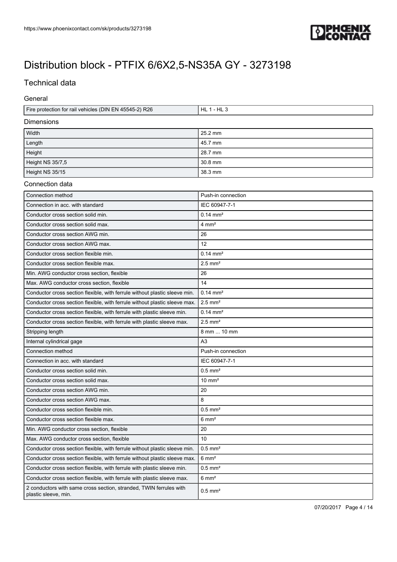

## Technical data

General

| Fire protection for rail vehicles (DIN EN 45545-2) R26 | HL 1 - HL 3 |  |  |
|--------------------------------------------------------|-------------|--|--|
| <b>Dimensions</b>                                      |             |  |  |
| Width                                                  | $25.2$ mm   |  |  |
| Length                                                 | 45.7 mm     |  |  |
| Height                                                 | 28.7 mm     |  |  |
| Height NS 35/7,5                                       | $30.8$ mm   |  |  |
| Height NS 35/15                                        | 38.3 mm     |  |  |

#### Connection data

| Connection method                                                                          | Push-in connection    |
|--------------------------------------------------------------------------------------------|-----------------------|
| Connection in acc. with standard                                                           | IEC 60947-7-1         |
| Conductor cross section solid min.                                                         | $0.14 \text{ mm}^2$   |
| Conductor cross section solid max.                                                         | $4 \text{ mm}^2$      |
| Conductor cross section AWG min.                                                           | 26                    |
| Conductor cross section AWG max.                                                           | 12                    |
| Conductor cross section flexible min.                                                      | $0.14 \, \text{mm}^2$ |
| Conductor cross section flexible max.                                                      | $2.5$ mm <sup>2</sup> |
| Min. AWG conductor cross section, flexible                                                 | 26                    |
| Max. AWG conductor cross section, flexible                                                 | 14                    |
| Conductor cross section flexible, with ferrule without plastic sleeve min.                 | $0.14 \, \text{mm}^2$ |
| Conductor cross section flexible, with ferrule without plastic sleeve max.                 | $2.5$ mm <sup>2</sup> |
| Conductor cross section flexible, with ferrule with plastic sleeve min.                    | $0.14 \text{ mm}^2$   |
| Conductor cross section flexible, with ferrule with plastic sleeve max.                    | $2.5$ mm <sup>2</sup> |
| Stripping length                                                                           | 8 mm  10 mm           |
| Internal cylindrical gage                                                                  | A3                    |
| Connection method                                                                          | Push-in connection    |
| Connection in acc. with standard                                                           | IEC 60947-7-1         |
| Conductor cross section solid min.                                                         | $0.5$ mm <sup>2</sup> |
| Conductor cross section solid max.                                                         | $10 \text{ mm}^2$     |
| Conductor cross section AWG min.                                                           | 20                    |
| Conductor cross section AWG max.                                                           | 8                     |
| Conductor cross section flexible min.                                                      | $0.5$ mm <sup>2</sup> |
| Conductor cross section flexible max.                                                      | $6 \text{ mm}^2$      |
| Min. AWG conductor cross section, flexible                                                 | 20                    |
| Max. AWG conductor cross section, flexible                                                 | 10                    |
| Conductor cross section flexible, with ferrule without plastic sleeve min.                 | $0.5$ mm <sup>2</sup> |
| Conductor cross section flexible, with ferrule without plastic sleeve max.                 | $6 \text{ mm}^2$      |
| Conductor cross section flexible, with ferrule with plastic sleeve min.                    | $0.5$ mm <sup>2</sup> |
| Conductor cross section flexible, with ferrule with plastic sleeve max.                    | $6 \text{ mm}^2$      |
| 2 conductors with same cross section, stranded, TWIN ferrules with<br>plastic sleeve, min. | $0.5$ mm <sup>2</sup> |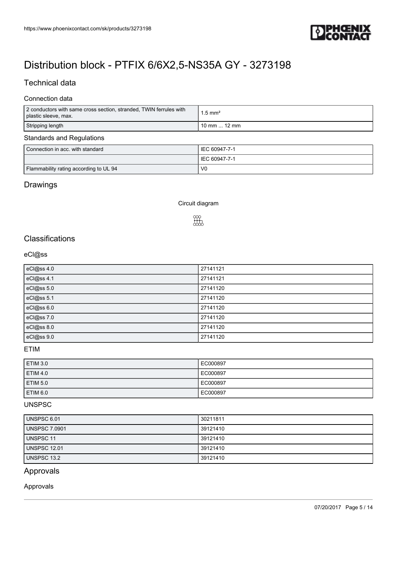

## Technical data

### Connection data

| 2 conductors with same cross section, stranded, TWIN ferrules with<br>plastic sleeve, max. | $1.5$ mm <sup>2</sup> |  |  |
|--------------------------------------------------------------------------------------------|-----------------------|--|--|
| Stripping length                                                                           | 10 mm $\ldots$ 12 mm  |  |  |
| <b>Standards and Regulations</b>                                                           |                       |  |  |
| Connection in acc. with standard                                                           | IEC 60947-7-1         |  |  |
|                                                                                            | IEC 60947-7-1         |  |  |
| Flammability rating according to UL 94                                                     | V <sub>0</sub>        |  |  |

## Drawings

Circuit diagram

# $\begin{bmatrix} 0 & 0 \\ 0 & 0 \\ 0 & 0 \end{bmatrix}$

## **Classifications**

### eCl@ss

| eCl@ss 4.0 | 27141121 |
|------------|----------|
| eCl@ss 4.1 | 27141121 |
| eCl@ss 5.0 | 27141120 |
| eCl@ss 5.1 | 27141120 |
| eCl@ss 6.0 | 27141120 |
| eCl@ss 7.0 | 27141120 |
| eCl@ss 8.0 | 27141120 |
| eCl@ss 9.0 | 27141120 |

### ETIM

| <b>ETIM 3.0</b>     | EC000897 |
|---------------------|----------|
| <b>ETIM 4.0</b>     | EC000897 |
| <b>ETIM 5.0</b>     | EC000897 |
| ETIM <sub>6.0</sub> | EC000897 |

#### UNSPSC

| UNSPSC 6.01         | 30211811 |
|---------------------|----------|
| UNSPSC 7.0901       | 39121410 |
| UNSPSC 11           | 39121410 |
| <b>UNSPSC 12.01</b> | 39121410 |
| UNSPSC 13.2         | 39121410 |

## Approvals

Approvals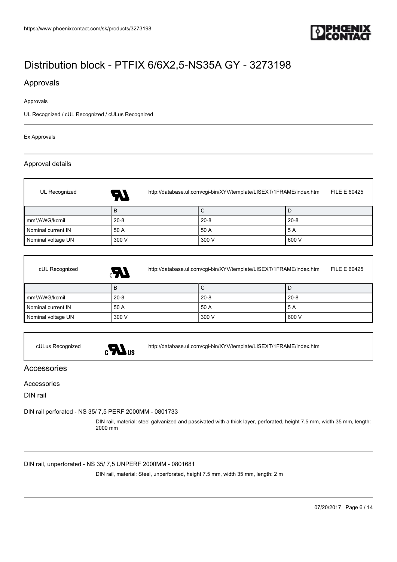

### Approvals

#### Approvals

UL Recognized / cUL Recognized / cULus Recognized

#### Ex Approvals

#### Approval details

| UL Recognized              | http://database.ul.com/cgi-bin/XYV/template/LISEXT/1FRAME/index.htm<br>FILE E 60425<br>RV. |          |          |
|----------------------------|--------------------------------------------------------------------------------------------|----------|----------|
|                            | B                                                                                          | С        |          |
| mm <sup>2</sup> /AWG/kcmil | $20 - 8$                                                                                   | $20 - 8$ | $20 - 8$ |
| Nominal current IN         | 50 A                                                                                       | 50 A     | 5 A      |
| Nominal voltage UN         | 300 V                                                                                      | 300 V    | 600 V    |

| cUL Recognized             | http://database.ul.com/cgi-bin/XYV/template/LISEXT/1FRAME/index.htm<br>$\mathcal{L}_3$ | FILE E 60425 |          |
|----------------------------|----------------------------------------------------------------------------------------|--------------|----------|
|                            | B                                                                                      | С            | ◡        |
| mm <sup>2</sup> /AWG/kcmil | $20 - 8$                                                                               | $20 - 8$     | $20 - 8$ |
| Nominal current IN         | 50 A                                                                                   | 50 A         | 5 A      |
| Nominal voltage UN         | 300 V                                                                                  | 300 V        | 600 V    |



cULus Recognized <http://database.ul.com/cgi-bin/XYV/template/LISEXT/1FRAME/index.htm>

Accessories

#### Accessories

DIN rail

[DIN rail perforated - NS 35/ 7,5 PERF 2000MM - 0801733](https://www.phoenixcontact.com/sk/products/0801733)

DIN rail, material: steel galvanized and passivated with a thick layer, perforated, height 7.5 mm, width 35 mm, length: 2000 mm

[DIN rail, unperforated - NS 35/ 7,5 UNPERF 2000MM - 0801681](https://www.phoenixcontact.com/sk/products/0801681)

DIN rail, material: Steel, unperforated, height 7.5 mm, width 35 mm, length: 2 m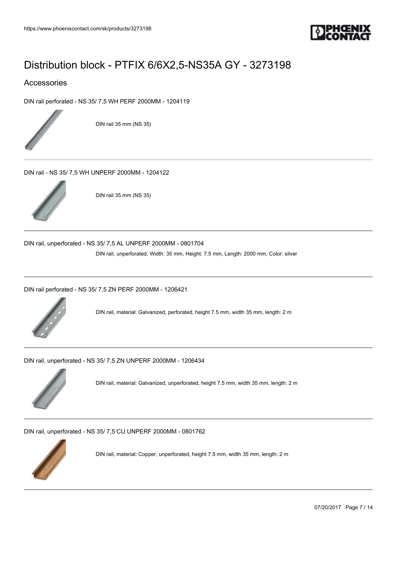

### Accessories

[DIN rail perforated - NS 35/ 7,5 WH PERF 2000MM - 1204119](https://www.phoenixcontact.com/sk/products/1204119)



DIN rail 35 mm (NS 35)

[DIN rail - NS 35/ 7,5 WH UNPERF 2000MM - 1204122](https://www.phoenixcontact.com/sk/products/1204122)



DIN rail 35 mm (NS 35)

[DIN rail, unperforated - NS 35/ 7,5 AL UNPERF 2000MM - 0801704](https://www.phoenixcontact.com/sk/products/0801704)

DIN rail, unperforated, Width: 35 mm, Height: 7.5 mm, Length: 2000 mm, Color: silver

[DIN rail perforated - NS 35/ 7,5 ZN PERF 2000MM - 1206421](https://www.phoenixcontact.com/sk/products/1206421)



DIN rail, material: Galvanized, perforated, height 7.5 mm, width 35 mm, length: 2 m

[DIN rail, unperforated - NS 35/ 7,5 ZN UNPERF 2000MM - 1206434](https://www.phoenixcontact.com/sk/products/1206434)



DIN rail, material: Galvanized, unperforated, height 7.5 mm, width 35 mm, length: 2 m

[DIN rail, unperforated - NS 35/ 7,5 CU UNPERF 2000MM - 0801762](https://www.phoenixcontact.com/sk/products/0801762)



DIN rail, material: Copper, unperforated, height 7.5 mm, width 35 mm, length: 2 m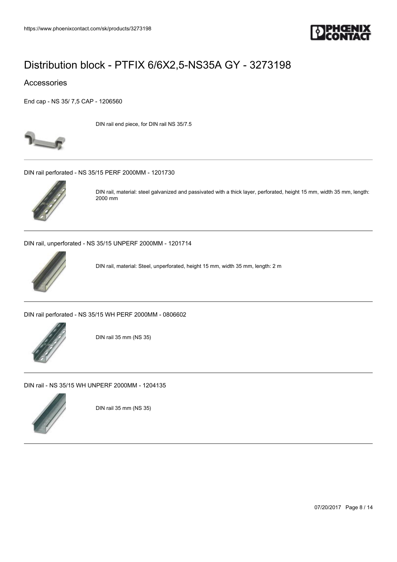

### Accessories

[End cap - NS 35/ 7,5 CAP - 1206560](https://www.phoenixcontact.com/sk/products/1206560)



DIN rail end piece, for DIN rail NS 35/7.5

[DIN rail perforated - NS 35/15 PERF 2000MM - 1201730](https://www.phoenixcontact.com/sk/products/1201730)



DIN rail, material: steel galvanized and passivated with a thick layer, perforated, height 15 mm, width 35 mm, length: 2000 mm

[DIN rail, unperforated - NS 35/15 UNPERF 2000MM - 1201714](https://www.phoenixcontact.com/sk/products/1201714)



DIN rail, material: Steel, unperforated, height 15 mm, width 35 mm, length: 2 m

[DIN rail perforated - NS 35/15 WH PERF 2000MM - 0806602](https://www.phoenixcontact.com/sk/products/0806602)



DIN rail 35 mm (NS 35)

[DIN rail - NS 35/15 WH UNPERF 2000MM - 1204135](https://www.phoenixcontact.com/sk/products/1204135)



DIN rail 35 mm (NS 35)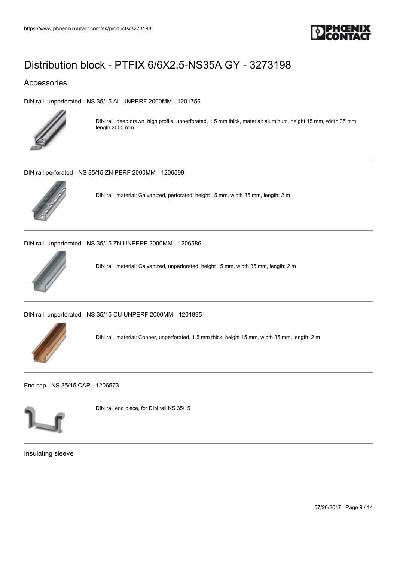

### Accessories

[DIN rail, unperforated - NS 35/15 AL UNPERF 2000MM - 1201756](https://www.phoenixcontact.com/sk/products/1201756)



DIN rail, deep drawn, high profile, unperforated, 1.5 mm thick, material: aluminum, height 15 mm, width 35 mm, length 2000 mm

[DIN rail perforated - NS 35/15 ZN PERF 2000MM - 1206599](https://www.phoenixcontact.com/sk/products/1206599)



DIN rail, material: Galvanized, perforated, height 15 mm, width 35 mm, length: 2 m

[DIN rail, unperforated - NS 35/15 ZN UNPERF 2000MM - 1206586](https://www.phoenixcontact.com/sk/products/1206586)



DIN rail, material: Galvanized, unperforated, height 15 mm, width 35 mm, length: 2 m

[DIN rail, unperforated - NS 35/15 CU UNPERF 2000MM - 1201895](https://www.phoenixcontact.com/sk/products/1201895)



DIN rail, material: Copper, unperforated, 1.5 mm thick, height 15 mm, width 35 mm, length: 2 m

[End cap - NS 35/15 CAP - 1206573](https://www.phoenixcontact.com/sk/products/1206573)



DIN rail end piece, for DIN rail NS 35/15

Insulating sleeve

07/20/2017 Page 9 / 14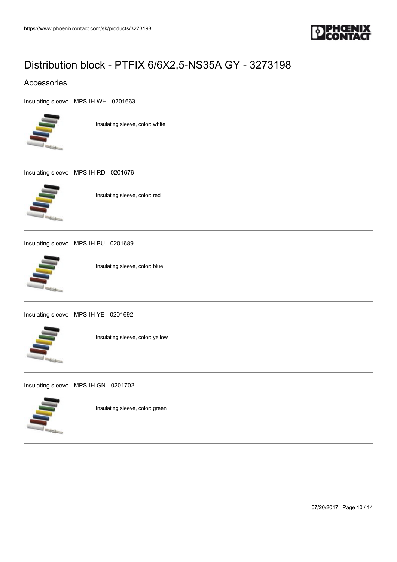

### Accessories

[Insulating sleeve - MPS-IH WH - 0201663](https://www.phoenixcontact.com/sk/products/0201663)



Insulating sleeve, color: white

[Insulating sleeve - MPS-IH RD - 0201676](https://www.phoenixcontact.com/sk/products/0201676)



Insulating sleeve, color: red

[Insulating sleeve - MPS-IH BU - 0201689](https://www.phoenixcontact.com/sk/products/0201689)



Insulating sleeve, color: blue

[Insulating sleeve - MPS-IH YE - 0201692](https://www.phoenixcontact.com/sk/products/0201692)



Insulating sleeve, color: yellow

[Insulating sleeve - MPS-IH GN - 0201702](https://www.phoenixcontact.com/sk/products/0201702)



Insulating sleeve, color: green

07/20/2017 Page 10 / 14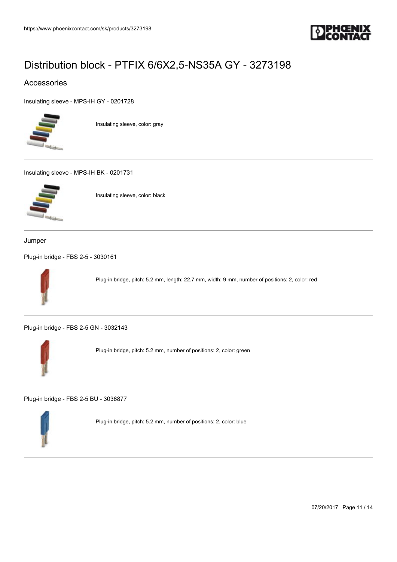

### Accessories

[Insulating sleeve - MPS-IH GY - 0201728](https://www.phoenixcontact.com/sk/products/0201728)



Insulating sleeve, color: gray

[Insulating sleeve - MPS-IH BK - 0201731](https://www.phoenixcontact.com/sk/products/0201731)



Insulating sleeve, color: black

Jumper

[Plug-in bridge - FBS 2-5 - 3030161](https://www.phoenixcontact.com/sk/products/3030161)



Plug-in bridge, pitch: 5.2 mm, length: 22.7 mm, width: 9 mm, number of positions: 2, color: red

[Plug-in bridge - FBS 2-5 GN - 3032143](https://www.phoenixcontact.com/sk/products/3032143)



Plug-in bridge, pitch: 5.2 mm, number of positions: 2, color: green

[Plug-in bridge - FBS 2-5 BU - 3036877](https://www.phoenixcontact.com/sk/products/3036877)



Plug-in bridge, pitch: 5.2 mm, number of positions: 2, color: blue

07/20/2017 Page 11 / 14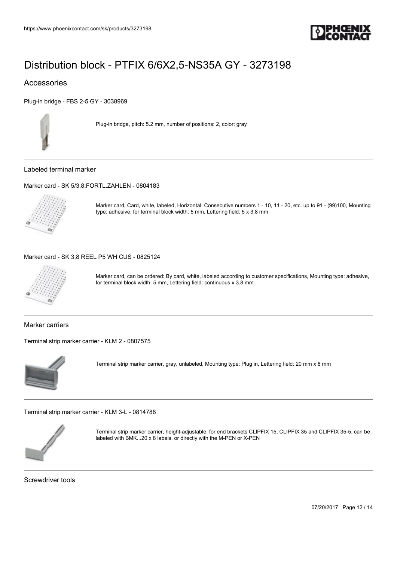

### Accessories

[Plug-in bridge - FBS 2-5 GY - 3038969](https://www.phoenixcontact.com/sk/products/3038969)



Plug-in bridge, pitch: 5.2 mm, number of positions: 2, color: gray

Labeled terminal marker

[Marker card - SK 5/3,8:FORTL.ZAHLEN - 0804183](https://www.phoenixcontact.com/sk/products/0804183)



Marker card, Card, white, labeled, Horizontal: Consecutive numbers 1 - 10, 11 - 20, etc. up to 91 - (99)100, Mounting type: adhesive, for terminal block width: 5 mm, Lettering field: 5 x 3.8 mm

#### [Marker card - SK 3,8 REEL P5 WH CUS - 0825124](https://www.phoenixcontact.com/sk/products/0825124)



Marker card, can be ordered: By card, white, labeled according to customer specifications, Mounting type: adhesive, for terminal block width: 5 mm, Lettering field: continuous x 3.8 mm

Marker carriers

[Terminal strip marker carrier - KLM 2 - 0807575](https://www.phoenixcontact.com/sk/products/0807575)



Terminal strip marker carrier, gray, unlabeled, Mounting type: Plug in, Lettering field: 20 mm x 8 mm

[Terminal strip marker carrier - KLM 3-L - 0814788](https://www.phoenixcontact.com/sk/products/0814788)



Terminal strip marker carrier, height-adjustable, for end brackets CLIPFIX 15, CLIPFIX 35 and CLIPFIX 35-5, can be labeled with BMK...20 x 8 labels, or directly with the M-PEN or X-PEN

Screwdriver tools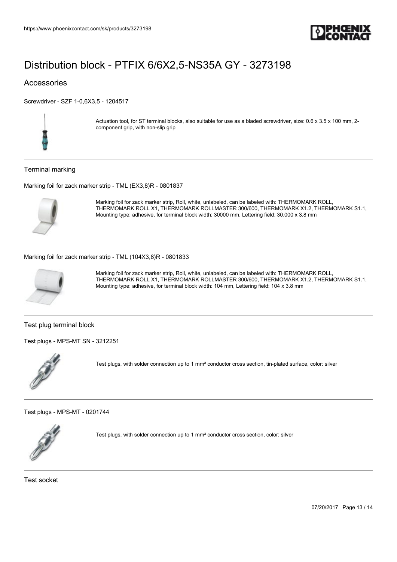

### Accessories

[Screwdriver - SZF 1-0,6X3,5 - 1204517](https://www.phoenixcontact.com/sk/products/1204517)



Actuation tool, for ST terminal blocks, also suitable for use as a bladed screwdriver, size: 0.6 x 3.5 x 100 mm, 2component grip, with non-slip grip

#### Terminal marking

[Marking foil for zack marker strip - TML \(EX3,8\)R - 0801837](https://www.phoenixcontact.com/sk/products/0801837)



Marking foil for zack marker strip, Roll, white, unlabeled, can be labeled with: THERMOMARK ROLL, THERMOMARK ROLL X1, THERMOMARK ROLLMASTER 300/600, THERMOMARK X1.2, THERMOMARK S1.1, Mounting type: adhesive, for terminal block width: 30000 mm, Lettering field: 30,000 x 3.8 mm

#### [Marking foil for zack marker strip - TML \(104X3,8\)R - 0801833](https://www.phoenixcontact.com/sk/products/0801833)



Marking foil for zack marker strip, Roll, white, unlabeled, can be labeled with: THERMOMARK ROLL, THERMOMARK ROLL X1, THERMOMARK ROLLMASTER 300/600, THERMOMARK X1.2, THERMOMARK S1.1, Mounting type: adhesive, for terminal block width: 104 mm, Lettering field: 104 x 3.8 mm

Test plug terminal block

[Test plugs - MPS-MT SN - 3212251](https://www.phoenixcontact.com/sk/products/3212251)



Test plugs, with solder connection up to 1 mm² conductor cross section, tin-plated surface, color: silver

[Test plugs - MPS-MT - 0201744](https://www.phoenixcontact.com/sk/products/0201744)



Test plugs, with solder connection up to 1 mm² conductor cross section, color: silver

Test socket